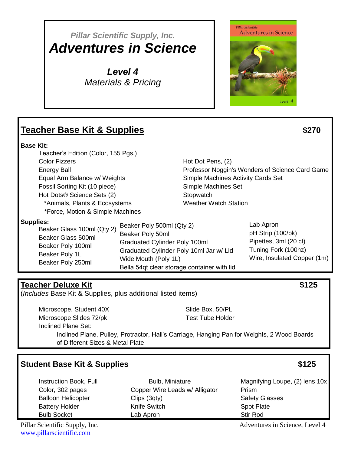# *Pillar Scientific Supply, Inc. Adventures in Science*

*Level 4 Materials & Pricing*



# **Teacher Base Kit & Supplies \$270**

#### **Base Kit:**

Teacher's Edition (Color, 155 Pgs.) Color Fizzers Energy Ball Equal Arm Balance w/ Weights Fossil Sorting Kit (10 piece) Hot Dots® Science Sets (2) \*Animals, Plants & Ecosystems \*Force, Motion & Simple Machines

Hot Dot Pens, (2) Professor Noggin's Wonders of Science Card Game Simple Machines Activity Cards Set Simple Machines Set **Stopwatch** Weather Watch Station

**Supplies:** 

| леэ.<br>Beaker Glass 100ml (Qty 2) | Beaker Poly 500ml (Qty 2) | Lab Apron                                   |                             |
|------------------------------------|---------------------------|---------------------------------------------|-----------------------------|
|                                    |                           | Beaker Poly 50ml                            | pH Strip (100/pk)           |
|                                    | Beaker Glass 500ml        | <b>Graduated Cylinder Poly 100ml</b>        | Pipettes, 3ml (20 ct)       |
|                                    | Beaker Poly 100ml         |                                             | Tuning Fork (100hz)         |
| Beaker Poly 1L                     |                           | Graduated Cylinder Poly 10ml Jar w/ Lid     |                             |
|                                    | Beaker Poly 250ml         | Wide Mouth (Poly 1L)                        | Wire, Insulated Copper (1m) |
|                                    |                           | Bella 54qt clear storage container with lid |                             |

# **Teacher Deluxe Kit \$125**

(*Includes* Base Kit & Supplies, plus additional listed items)

Microscope, Student 40X Microscope Slides 72/pk Inclined Plane Set:

Slide Box, 50/PL Test Tube Holder

Inclined Plane, Pulley, Protractor, Hall's Carriage, Hanging Pan for Weights, 2 Wood Boards of Different Sizes & Metal Plate

# **Student Base Kit & Supplies \$125**

Instruction Book, Full Color, 302 pages Balloon Helicopter Battery Holder Bulb Socket

Bulb, Miniature Copper Wire Leads w/ Alligator Clips (3qty) Knife Switch Lab Apron

Magnifying Loupe, (2) lens 10x Prism Safety Glasses Spot Plate Stir Rod

[www.pillarscientific.com](file:///C:/Users/Kathy/Desktop/Pillar/www.pillarscientific.com)

Pillar Scientific Supply, Inc. **Adventures** in Science, Level 4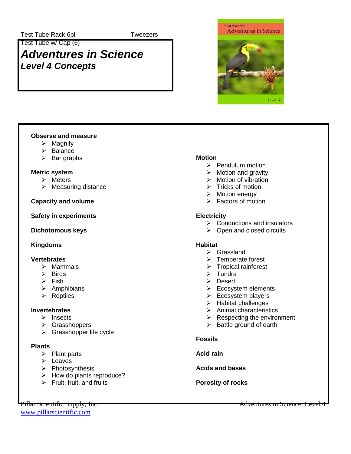**Tweezers** 

Test Tube w/ Cap (6)

# *Adventures in Science Level 4 Concepts*



### **Observe and measure**

- $\triangleright$  Magnify
- $\triangleright$  Balance
- $\triangleright$  Bar graphs

### **Metric system**

- $\triangleright$  Meters
- $\triangleright$  Measuring distance

### **Capacity and volume**

**Safety in experiments**

## **Dichotomous keys**

# **Kingdoms**

#### **Vertebrates**

- $\triangleright$  Mammals
- $\triangleright$  Birds
- $\triangleright$  Fish
- $\triangleright$  Amphibians
- $\triangleright$  Reptiles

#### **Invertebrates**

- $\triangleright$  Insects
- Grasshoppers
- $\triangleright$  Grasshopper life cycle

#### **Plants**

- $\triangleright$  Plant parts
- $\triangleright$  Leaves
- $\triangleright$  Photosynthesis
- $\triangleright$  How do plants reproduce?
- $\triangleright$  Fruit, fruit, and fruits

#### **Motion**

- $\triangleright$  Pendulum motion
- $\triangleright$  Motion and gravity
- $\triangleright$  Motion of vibration
- $\triangleright$  Tricks of motion
- > Motion energy
- $\triangleright$  Factors of motion

# **Electricity**

- $\triangleright$  Conductions and insulators
- $\triangleright$  Open and closed circuits

#### **Habitat**

- $\triangleright$  Grassland
- $\triangleright$  Temperate forest
- $\triangleright$  Tropical rainforest
- $\triangleright$  Tundra
- Desert
- $\triangleright$  Ecosystem elements
- $\triangleright$  Ecosystem players
- $\triangleright$  Habitat challenges
- $\triangleright$  Animal characteristics
- $\triangleright$  Respecting the environment
- $\triangleright$  Battle ground of earth

#### **Fossils**

**Acid rain**

**Acids and bases**

# **Porosity of rocks**

[www.pillarscientific.com](file:///C:/Users/Kathy/Desktop/Pillar/www.pillarscientific.com)

Pillar Scientific Supply, Inc. Adventures in Science, Level 4. Adventures in Science, Level 4. Adventures in Science, Level